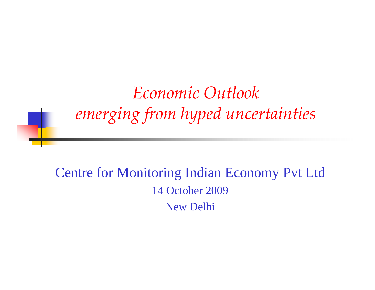*E i O tl k Economc utlooemerging from hyped uncertainties*

Centre for Monitoring Indian Economy Pvt Ltd 14 October 2009 New Delhi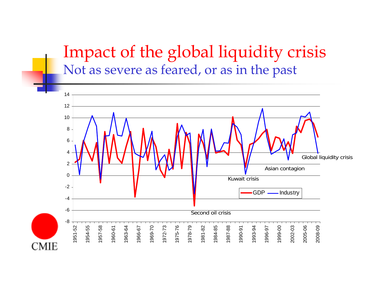### Impact of the global liquidity crisis Not as severe as feared, or as in the past

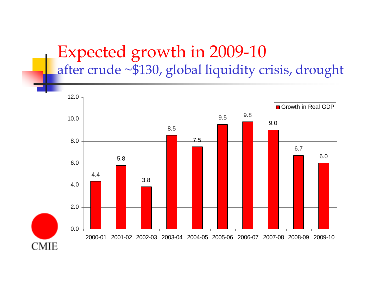### Expected growth in 2009 -10 after crude ~\$130, global liquidity crisis, drought

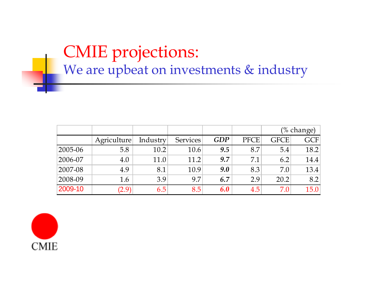# CMIE projections: We are upbeat on investments & industry

|             |             |          |                 |            |             |             | (% change)        |
|-------------|-------------|----------|-----------------|------------|-------------|-------------|-------------------|
|             | Agriculture | Industry | <b>Services</b> | <b>GDP</b> | <b>PFCE</b> | <b>GFCE</b> | GCF               |
| 2005-06     | 5.8         | 10.2     | 10.6            | 9.5        | 8.7         | 5.4         | 18.2 <sub>1</sub> |
| $2006 - 07$ | 4.0         | 11.0     | 11.2            | 9.7        | 7.1         | 6.2         | 14.4              |
| 2007-08     | 4.9         | 8.1      | 10.9            | 9.0        | 8.3         | 7.0         | 13.4              |
| 2008-09     | 1.6         | 3.9      | 9.7             | 6.7        | 2.9         | 20.2        | 8.2               |
| 2009-10     | (2.9)       | 6.5      | 8.5             | 6.0        | 4.5         | 7.0         | 15.0              |

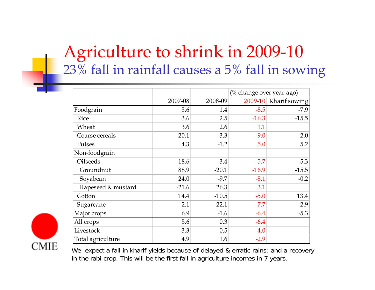# Agriculture to shrink in 2009 -10 23% fall in rainfall causes a 5% fall in sowing

|                    |         |         | (% change over year-ago) |               |  |
|--------------------|---------|---------|--------------------------|---------------|--|
|                    | 2007-08 | 2008-09 | 2009-10                  | Kharif sowing |  |
| Foodgrain          | 5.6     | 1.4     | $-8.5$                   | $-7.9$        |  |
| Rice               | 3.6     | 2.5     | $-16.3$                  | $-15.5$       |  |
| Wheat              | 3.6     | 2.6     | 1.1                      |               |  |
| Coarse cereals     | 20.1    | $-3.3$  | $-9.0$                   | 2.0           |  |
| Pulses             | 4.3     | $-1.2$  | 5.0                      | 5.2           |  |
| Non-foodgrain      |         |         |                          |               |  |
| <b>Oilseeds</b>    | 18.6    | $-3.4$  | $-5.7$                   | $-5.3$        |  |
| Groundnut          | 88.9    | $-20.1$ | $-16.9$                  | $-15.5$       |  |
| Soyabean           | 24.0    | $-9.7$  | $-8.1$                   | $-0.2$        |  |
| Rapeseed & mustard | $-21.6$ | 26.3    | 3.1                      |               |  |
| Cotton             | 14.4    | $-10.5$ | $-5.0$                   | 13.4          |  |
| Sugarcane          | $-2.1$  | $-22.1$ | $-7.7$                   | $-2.9$        |  |
| Major crops        | 6.9     | $-1.6$  | $-6.4$                   | $-5.3$        |  |
| All crops          | 5.6     | 0.3     | $-6.4$                   |               |  |
| Livestock          | 3.3     | 0.5     | 4.0                      |               |  |
| Total agriculture  | 4.9     | 1.6     | $-2.9$                   |               |  |



We expect a fall in kharif yields because of delayed & erratic rains; and a recovery in the rabi crop. This will be the first fall in agriculture incomes in 7 years.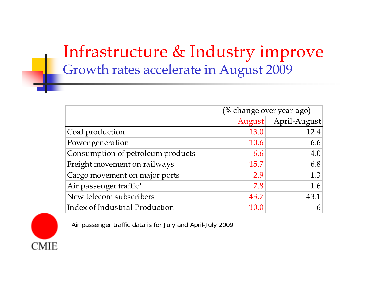# Infrastructure & Industry improve Growth rates accelerate in August 2009

|                                   | (% change over year-ago) |              |  |
|-----------------------------------|--------------------------|--------------|--|
|                                   | August                   | April-August |  |
| Coal production                   | 13.0                     | 12.4         |  |
| Power generation                  | 10.6                     | 6.6          |  |
| Consumption of petroleum products | 6.6                      | 4.0          |  |
| Freight movement on railways      | 15.7                     | 6.8          |  |
| Cargo movement on major ports     | 2.9                      | 1.3          |  |
| Air passenger traffic*            | 7.8                      | 1.6          |  |
| New telecom subscribers           | 43.7                     | 43.1         |  |
| Index of Industrial Production    | 10. $\Omega$             |              |  |

**CMIE** 

Air passenger traffic data is for July and April-July 2009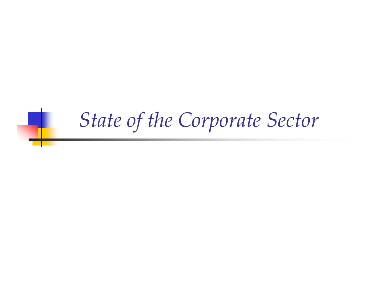# *State of the Corporate Sector*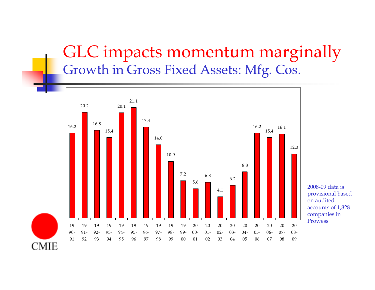### GLC impacts momentum marginally Growth in Gross Fixed Assets: Mfg. Cos.



2008-09 data is provisional based on audited accounts of 1,828 companies in Prowess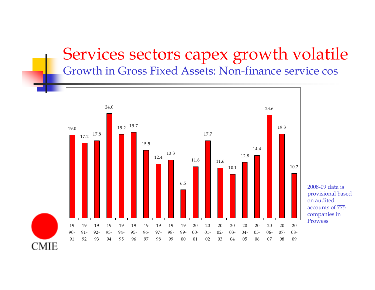# Services sectors capex growth volatile

Growth in Gross Fixed Assets: Non-finance service cos



**CMIE**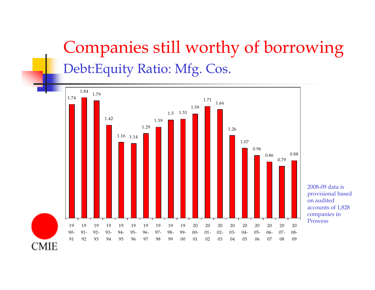# Companies still worthy of borrowing Debt:Equity Ratio: Mfg. Cos.



2008-09 data is provisional based on audited accounts of 1,828 companies in Prowess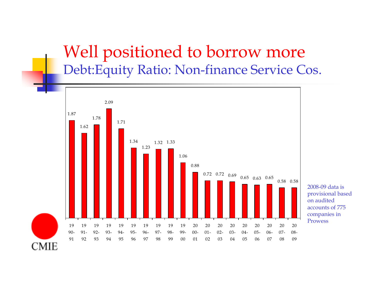## Well positioned to borrow more Debt:Equity Ratio: Non-finance Service Cos.



2008-09 data is provisional based on audited ed accounts of 775 companies in Prowess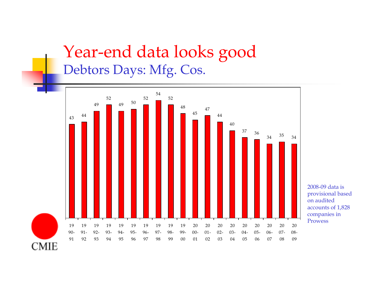### Year-end data looks good Debtors Days: Mfg. Cos.



2008-09 data is provisional based on audited accounts of 1,828 companies in Prowess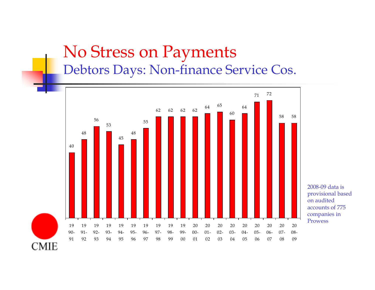## No Stress on Payments Debtors Days: Non-finance Service Cos.



2008-09 data is provisional based on audited accounts of 775 companies in Prowess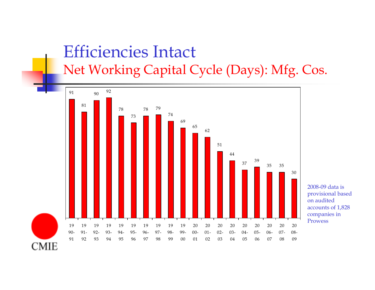### Efficiencies Intact Net Working Capital Cycle (Days): Mfg. Cos.



2008-09 data is provisional based on audited accounts of 1,828 companies in Prowess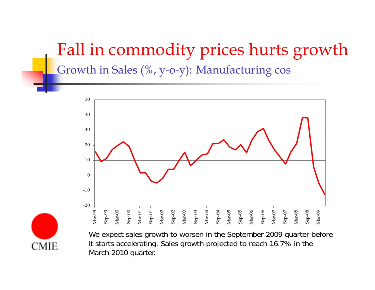# Fall in commodity prices hurts growth Growth in Sales (%, y-o-y): Manufacturing cos



We expect sales growth to worsen in the September 2009 quarter before it starts accelerating. Sales growth projected to reach 16.7% in the March 2010 quarter.

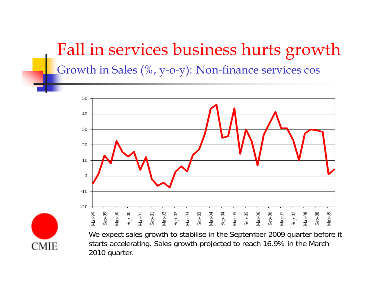# Fall in services business hurts growth Growth in Sales (%, y-o-y): Non-finance services cos



We expect sales growth to stabilise in the September 2009 quarter before it starts accelerating. Sales growth projected to reach 16.9% in the March 2010 quarter.

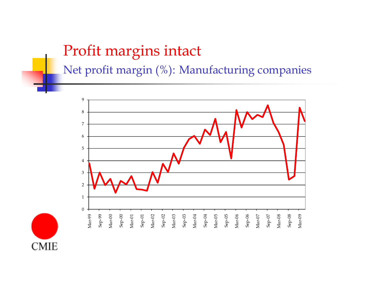#### Profit margins intact

Net profit margin (%): Manufacturing companies



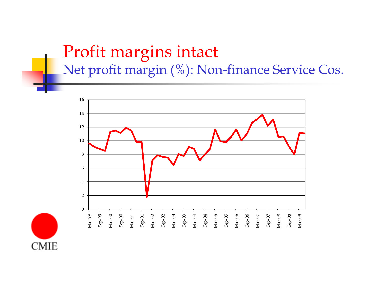## Profit margins intact Net profit margin (%): Non-finance Service Cos.



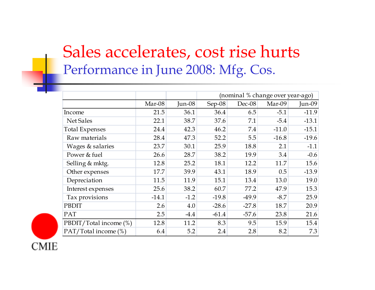## Sales accelerates, cost rise hurts Performance in June 2008: Mfg. Cos.

|                        |         |          | (nominal % change over year-ago) |          |         |           |
|------------------------|---------|----------|----------------------------------|----------|---------|-----------|
|                        | Mar-08  | $Jun-08$ | Sep-08                           | $Dec-08$ | Mar-09  | $J$ un-09 |
| Income                 | 21.5    | 36.1     | 36.4                             | 6.5      | $-5.1$  | $-11.9$   |
| Net Sales              | 22.1    | 38.7     | 37.6                             | 7.1      | $-5.4$  | $-13.1$   |
| <b>Total Expenses</b>  | 24.4    | 42.3     | 46.2                             | 7.4      | $-11.0$ | $-15.1$   |
| Raw materials          | 28.4    | 47.3     | 52.2                             | 5.5      | $-16.8$ | $-19.6$   |
| Wages & salaries       | 23.7    | 30.1     | 25.9                             | 18.8     | 2.1     | $-1.1$    |
| Power & fuel           | 26.6    | 28.7     | 38.2                             | 19.9     | 3.4     | $-0.6$    |
| Selling & mktg.        | 12.8    | 25.2     | 18.1                             | 12.2     | 11.7    | 15.6      |
| Other expenses         | 17.7    | 39.9     | 43.1                             | 18.9     | 0.5     | $-13.9$   |
| Depreciation           | 11.5    | 11.9     | 15.1                             | 13.4     | 13.0    | 19.0      |
| Interest expenses      | 25.6    | 38.2     | 60.7                             | 77.2     | 47.9    | 15.3      |
| Tax provisions         | $-14.1$ | $-1.2$   | $-19.8$                          | $-49.9$  | $-8.7$  | 25.9      |
| PBDIT                  | 2.6     | 4.0      | $-28.6$                          | $-27.8$  | 18.7    | 20.9      |
| PAT                    | 2.5     | $-4.4$   | $-61.4$                          | $-57.6$  | 23.8    | 21.6      |
| PBDIT/Total income (%) | 12.8    | 11.2     | 8.3                              | 9.5      | 15.9    | 15.4      |
| PAT/Total income (%)   | 6.4     | 5.2      | 2.4                              | 2.8      | 8.2     | 7.3       |

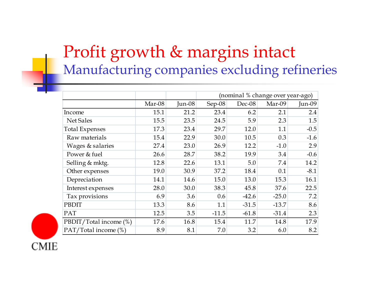# Profit growth & margins intact Manufacturing companies excluding refineries

|                        |        |          | (nominal % change over year-ago) |         |         |        |
|------------------------|--------|----------|----------------------------------|---------|---------|--------|
|                        | Mar-08 | $Jun-08$ | Sep-08                           | Dec-08  | Mar-09  | Jun-09 |
| Income                 | 15.1   | 21.2     | 23.4                             | 6.2     | 2.1     | 2.4    |
| Net Sales              | 15.5   | 23.5     | 24.5                             | 5.9     | 2.3     | 1.5    |
| <b>Total Expenses</b>  | 17.3   | 23.4     | 29.7                             | 12.0    | 1.1     | $-0.5$ |
| Raw materials          | 15.4   | 22.9     | 30.0                             | 10.5    | 0.3     | $-1.6$ |
| Wages & salaries       | 27.4   | 23.0     | 26.9                             | 12.2    | $-1.0$  | 2.9    |
| Power & fuel           | 26.6   | 28.7     | 38.2                             | 19.9    | 3.4     | $-0.6$ |
| Selling & mktg.        | 12.8   | 22.6     | 13.1                             | 5.0     | 7.4     | 14.2   |
| Other expenses         | 19.0   | 30.9     | 37.2                             | 18.4    | 0.1     | $-8.1$ |
| Depreciation           | 14.1   | 14.6     | 15.0                             | 13.0    | 15.3    | 16.1   |
| Interest expenses      | 28.0   | 30.0     | 38.3                             | 45.8    | 37.6    | 22.5   |
| Tax provisions         | 6.9    | 3.6      | 0.6                              | $-42.6$ | $-25.0$ | 7.2    |
| PBDIT                  | 13.3   | 8.6      | 1.1                              | $-31.5$ | $-13.7$ | 8.6    |
| <b>PAT</b>             | 12.5   | 3.5      | $-11.5$                          | $-61.8$ | $-31.4$ | 2.3    |
| PBDIT/Total income (%) | 17.6   | 16.8     | 15.4                             | 11.7    | 14.8    | 17.9   |
| PAT/Total income (%)   | 8.9    | 8.1      | 7.0                              | 3.2     | 6.0     | 8.2    |

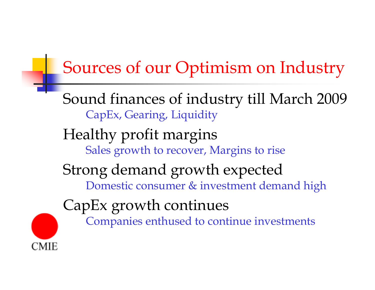# Sources of our Optimism on Industry

Sound finances of industr y till March 2009 CapEx, Gearing, Liquidity

#### Health y profit mar gins Sales growth to recover, Margins to rise

#### Stron g demand growth expected Domestic consumer & investment demand high

CapEx growt h continues

CMIE

Companies enthused to continue investments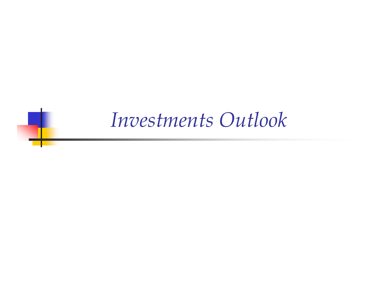# *Investments Outlook*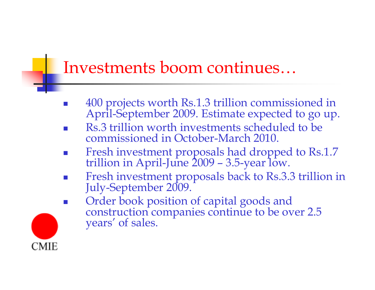# Investments boom continues…

- P. 400 projects worth Rs.1.3 trillion commissioned in April-September 2009. Estimate expected to go up.
- F. Rs.3 trillion worth investments scheduled to be commissioned in October-March 2010.
- F. Fresh investment proposals had dropped to Rs.1.7 -June 2009 –– 3.5-year low.
- $\mathcal{C}^{\mathcal{A}}$ Fresh investment proposals back to Rs.3.3 trillion in July-September 2009.
- $\mathbb{R}^3$ Order book position of capital goods and construction companies continue to be over 2.5 years' of sales.

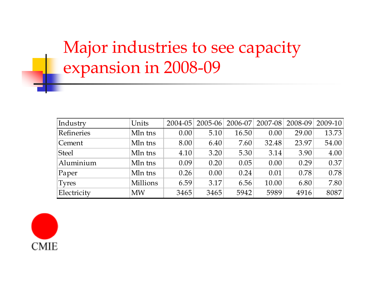# Major industries to see capacity expansion in 2008-09

| Industry      | Units     | $2004 - 05$ | $2005 - 06$ | $2006 - 07$ | 2007-08 | $2008 - 09$ | 2009-10 |
|---------------|-----------|-------------|-------------|-------------|---------|-------------|---------|
| Refineries    | Mln tns   | 0.00        | 5.10        | 16.50       | 0.00    | 29.00       | 13.73   |
| Cement        | Mln tns   | 8.00        | 6.40        | 7.60        | 32.48   | 23.97       | 54.00   |
| <b>Steel</b>  | Mln tns   | 4.10        | 3.20        | 5.30        | 3.14    | 3.90        | 4.00    |
| Aluminium     | Mln tns   | 0.09        | 0.20        | 0.05        | 0.00    | 0.29        | 0.37    |
| $\vert$ Paper | Mln tns   | 0.26        | 0.00        | 0.24        | 0.01    | 0.78        | 0.78    |
| <b>Tyres</b>  | Millions  | 6.59        | 3.17        | 6.56        | 10.00   | 6.80        | 7.80    |
| Electricity   | <b>MW</b> | 3465        | 3465        | 5942        | 5989    | 4916        | 8087    |

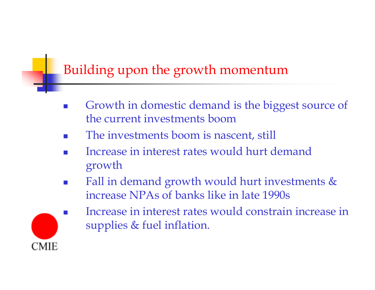#### Building upon the growth momentum

- F. Growth in domestic demand is the biggest source of the current investments boom
- F. The investments boom is nascent, still
- F. Increase in interest rates would hurt demand growth
- F. Fall in demand growth would hurt investments & increase NPAs of banks like in late 1990s



 Increase in interest rates would constrain increase in supplies & fuel inflation.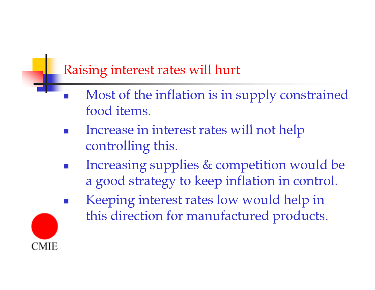#### Raising interest rates will hurt

- $\overline{\mathbb{R}}$ • Most of the inflation is in supply constrained food items.
- $\overline{\mathbb{R}}$ **Increase in interest rates will not help** controlling this.
- $\overline{\mathbb{R}}$  Increasing supplies & competition would be a good strategy to keep inflation in control.



 $\overline{\mathbb{R}}$  Keeping interest rates low would help in this direction for manufactured products.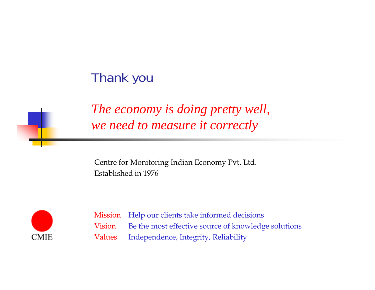#### Thank you



Centre for Monitoring Indian Economy Pvt. Ltd. Established in 1976



Mission Help our clients take informed decisions Vision Be the most effective source of knowledge solutions ValuesIndependence, Integrity, Reliability